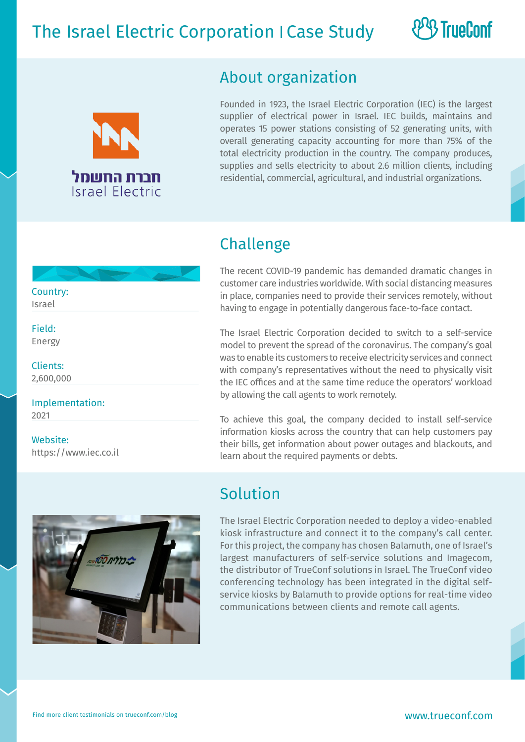## The Israel Electric Corporation I Case Study



#### About organization

Founded in 1923, the Israel Electric Corporation (IEC) is the largest supplier of electrical power in Israel. IEC builds, maintains and operates 15 power stations consisting of 52 generating units, with overall generating capacity accounting for more than 75% of the total electricity production in the country. The company produces, supplies and sells electricity to about 2.6 million clients, including residential, commercial, agricultural, and industrial organizations.

**& TrueConf** 

#### Challenge

The recent COVID-19 pandemic has demanded dramatic changes in customer care industries worldwide. With social distancing measures in place, companies need to provide their services remotely, without having to engage in potentially dangerous face-to-face contact.

The Israel Electric Corporation decided to switch to a self-service model to prevent the spread of the coronavirus. The company's goal was to enable its customers to receive electricity services and connect with company's representatives without the need to physically visit the IEC offices and at the same time reduce the operators' workload by allowing the call agents to work remotely.

To achieve this goal, the company decided to install self-service information kiosks across the country that can help customers pay their bills, get information about power outages and blackouts, and learn about the required payments or debts.



#### Solution

The Israel Electric Corporation needed to deploy a video-enabled kiosk infrastructure and connect it to the company's call center. For this project, the company has chosen Balamuth, one of Israel's largest manufacturers of self-service solutions and Imagecom, the distributor of TrueConf solutions in Israel. The TrueConf video conferencing technology has been integrated in the digital selfservice kiosks by Balamuth to provide options for real-time video communications between clients and remote call agents.

Field: Energy

Clients:

2,600,000

Implementation:

2021

Website:

https://www.iec.co.il